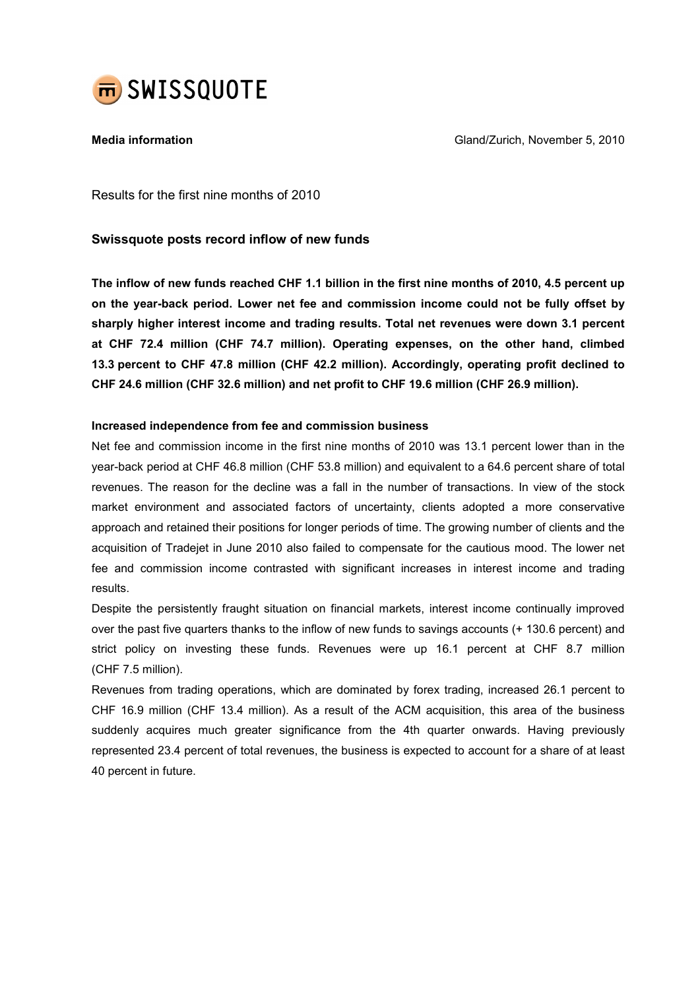

Media information Gland/Zurich, November 5, 2010

Results for the first nine months of 2010

## Swissquote posts record inflow of new funds

The inflow of new funds reached CHF 1.1 billion in the first nine months of 2010, 4.5 percent up on the year-back period. Lower net fee and commission income could not be fully offset by sharply higher interest income and trading results. Total net revenues were down 3.1 percent at CHF 72.4 million (CHF 74.7 million). Operating expenses, on the other hand, climbed 13.3 percent to CHF 47.8 million (CHF 42.2 million). Accordingly, operating profit declined to CHF 24.6 million (CHF 32.6 million) and net profit to CHF 19.6 million (CHF 26.9 million).

## Increased independence from fee and commission business

Net fee and commission income in the first nine months of 2010 was 13.1 percent lower than in the year-back period at CHF 46.8 million (CHF 53.8 million) and equivalent to a 64.6 percent share of total revenues. The reason for the decline was a fall in the number of transactions. In view of the stock market environment and associated factors of uncertainty, clients adopted a more conservative approach and retained their positions for longer periods of time. The growing number of clients and the acquisition of Tradejet in June 2010 also failed to compensate for the cautious mood. The lower net fee and commission income contrasted with significant increases in interest income and trading results.

Despite the persistently fraught situation on financial markets, interest income continually improved over the past five quarters thanks to the inflow of new funds to savings accounts (+ 130.6 percent) and strict policy on investing these funds. Revenues were up 16.1 percent at CHF 8.7 million (CHF 7.5 million).

Revenues from trading operations, which are dominated by forex trading, increased 26.1 percent to CHF 16.9 million (CHF 13.4 million). As a result of the ACM acquisition, this area of the business suddenly acquires much greater significance from the 4th quarter onwards. Having previously represented 23.4 percent of total revenues, the business is expected to account for a share of at least 40 percent in future.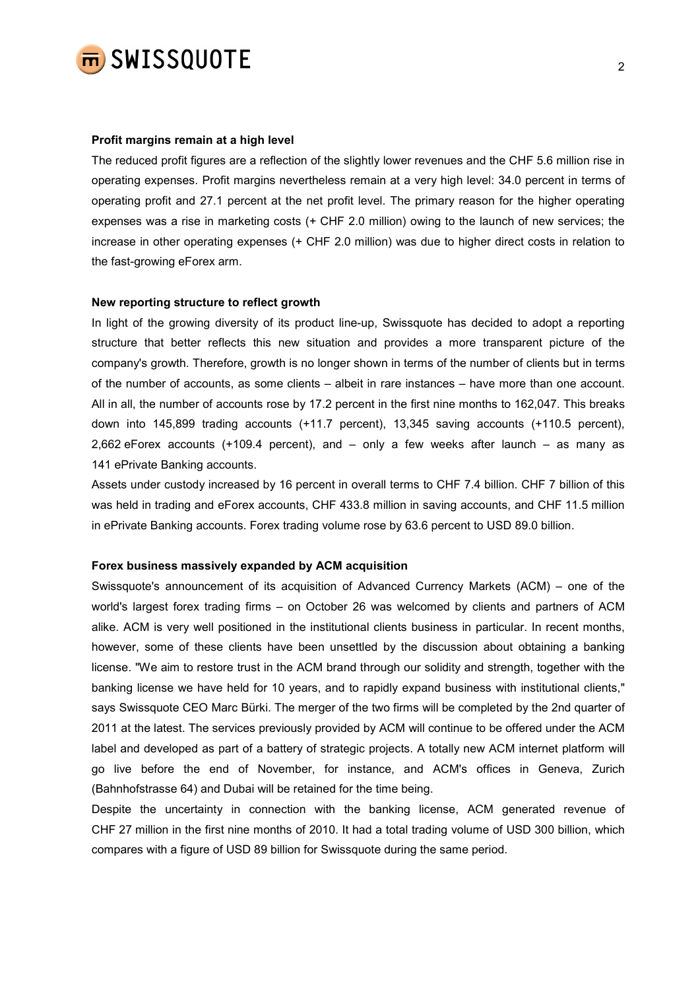

#### Profit margins remain at a high level

The reduced profit figures are a reflection of the slightly lower revenues and the CHF 5.6 million rise in operating expenses. Profit margins nevertheless remain at a very high level: 34.0 percent in terms of operating profit and 27.1 percent at the net profit level. The primary reason for the higher operating expenses was a rise in marketing costs (+ CHF 2.0 million) owing to the launch of new services; the increase in other operating expenses (+ CHF 2.0 million) was due to higher direct costs in relation to the fast-growing eForex arm.

## New reporting structure to reflect growth

In light of the growing diversity of its product line-up, Swissquote has decided to adopt a reporting structure that better reflects this new situation and provides a more transparent picture of the company's growth. Therefore, growth is no longer shown in terms of the number of clients but in terms of the number of accounts, as some clients – albeit in rare instances – have more than one account. All in all, the number of accounts rose by 17.2 percent in the first nine months to 162,047. This breaks down into 145,899 trading accounts (+11.7 percent), 13,345 saving accounts (+110.5 percent), 2,662 eForex accounts (+109.4 percent), and – only a few weeks after launch – as many as 141 ePrivate Banking accounts.

Assets under custody increased by 16 percent in overall terms to CHF 7.4 billion. CHF 7 billion of this was held in trading and eForex accounts, CHF 433.8 million in saving accounts, and CHF 11.5 million in ePrivate Banking accounts. Forex trading volume rose by 63.6 percent to USD 89.0 billion.

#### Forex business massively expanded by ACM acquisition

Swissquote's announcement of its acquisition of Advanced Currency Markets (ACM) – one of the world's largest forex trading firms – on October 26 was welcomed by clients and partners of ACM alike. ACM is very well positioned in the institutional clients business in particular. In recent months, however, some of these clients have been unsettled by the discussion about obtaining a banking license. "We aim to restore trust in the ACM brand through our solidity and strength, together with the banking license we have held for 10 years, and to rapidly expand business with institutional clients," says Swissquote CEO Marc Bürki. The merger of the two firms will be completed by the 2nd quarter of 2011 at the latest. The services previously provided by ACM will continue to be offered under the ACM label and developed as part of a battery of strategic projects. A totally new ACM internet platform will go live before the end of November, for instance, and ACM's offices in Geneva, Zurich (Bahnhofstrasse 64) and Dubai will be retained for the time being.

Despite the uncertainty in connection with the banking license, ACM generated revenue of CHF 27 million in the first nine months of 2010. It had a total trading volume of USD 300 billion, which compares with a figure of USD 89 billion for Swissquote during the same period.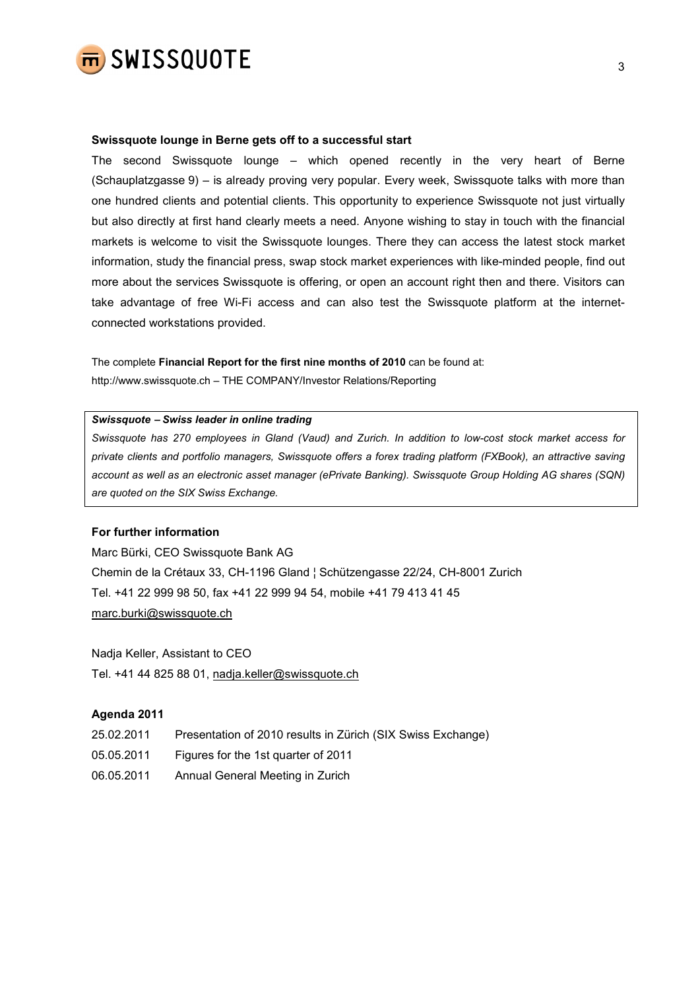

#### Swissquote lounge in Berne gets off to a successful start

The second Swissquote lounge – which opened recently in the very heart of Berne (Schauplatzgasse 9) – is already proving very popular. Every week, Swissquote talks with more than one hundred clients and potential clients. This opportunity to experience Swissquote not just virtually but also directly at first hand clearly meets a need. Anyone wishing to stay in touch with the financial markets is welcome to visit the Swissquote lounges. There they can access the latest stock market information, study the financial press, swap stock market experiences with like-minded people, find out more about the services Swissquote is offering, or open an account right then and there. Visitors can take advantage of free Wi-Fi access and can also test the Swissquote platform at the internetconnected workstations provided.

The complete Financial Report for the first nine months of 2010 can be found at: http://www.swissquote.ch – THE COMPANY/Investor Relations/Reporting

#### Swissquote − Swiss leader in online trading

Swissquote has 270 employees in Gland (Vaud) and Zurich. In addition to low-cost stock market access for private clients and portfolio managers, Swissquote offers a forex trading platform (FXBook), an attractive saving account as well as an electronic asset manager (ePrivate Banking). Swissquote Group Holding AG shares (SQN) are quoted on the SIX Swiss Exchange.

### For further information

Marc Bürki, CEO Swissquote Bank AG Chemin de la Crétaux 33, CH-1196 Gland ¦ Schützengasse 22/24, CH-8001 Zurich Tel. +41 22 999 98 50, fax +41 22 999 94 54, mobile +41 79 413 41 45 marc.burki@swissquote.ch

Nadja Keller, Assistant to CEO Tel. +41 44 825 88 01, nadja.keller@swissquote.ch

#### Agenda 2011

- 25.02.2011 Presentation of 2010 results in Zürich (SIX Swiss Exchange)
- 05.05.2011 Figures for the 1st quarter of 2011
- 06.05.2011 Annual General Meeting in Zurich